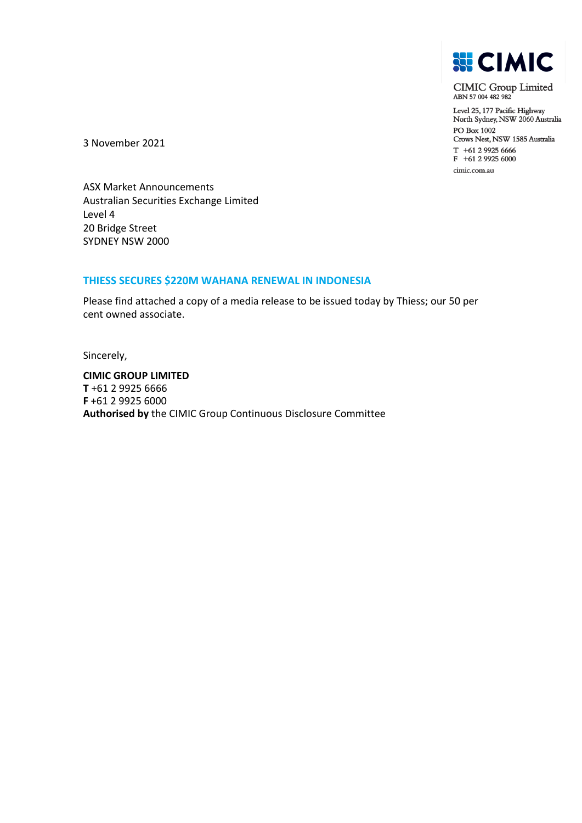

CIMIC Group Limited<br>ABN 57 004 482 982

Level 25, 177 Pacific Highway North Sydney, NSW 2060 Australia PO Box 1002 Crows Nest, NSW 1585 Australia T +61 2 9925 6666<br>F +61 2 9925 6000 cimic.com.au

3 November 2021

ASX Market Announcements Australian Securities Exchange Limited Level 4 20 Bridge Street SYDNEY NSW 2000

## **THIESS SECURES \$220M WAHANA RENEWAL IN INDONESIA**

Please find attached a copy of a media release to be issued today by Thiess; our 50 per cent owned associate.

Sincerely,

**CIMIC GROUP LIMITED T** +61 2 9925 6666 **F** +61 2 9925 6000 **Authorised by** the CIMIC Group Continuous Disclosure Committee